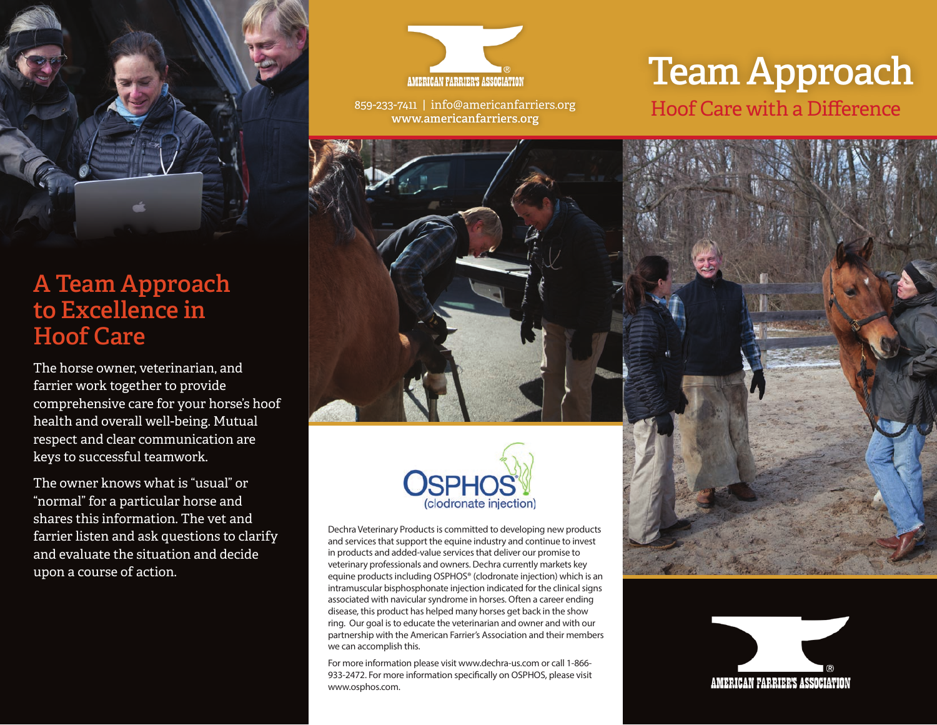

# **A Team Approach to Excellence in Hoof Care**

The horse owner, veterinarian, and farrier work together to provide comprehensive care for your horse's hoof health and overall well-being. Mutual respect and clear communication are keys to successful teamwork.

The owner knows what is "usual" or "normal" for a particular horse and shares this information. The vet and farrier listen and ask questions to clarify and evaluate the situation and decide upon a course of action.



859-233-7411 | info@americanfarriers.org **www.americanfarriers.org**

# **Team Approach** Hoof Care with a Difference





Dechra Veterinary Products is committed to developing new products and services that support the equine industry and continue to invest in products and added-value services that deliver our promise to veterinary professionals and owners. Dechra currently markets key equine products including OSPHOS® (clodronate injection) which is an intramuscular bisphosphonate injection indicated for the clinical signs associated with navicular syndrome in horses. Often a career ending disease, this product has helped many horses get back in the show ring. Our goal is to educate the veterinarian and owner and with our partnership with the American Farrier's Association and their members we can accomplish this.

For more information please visit www.dechra-us.com or call 1-866- 933-2472. For more information specifically on OSPHOS, please visit www.osphos.com.